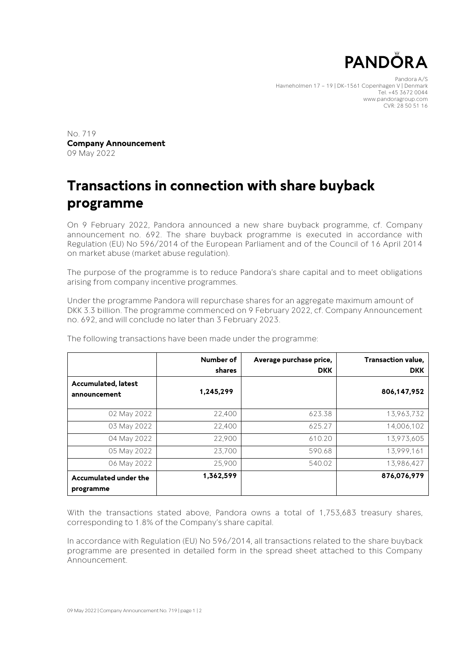

Pandora A/S Havneholmen 17 – 19 | DK-1561 Copenhagen V | Denmark Tel. +45 3672 0044 www.pandoragroup.com CVR: 28 50 51 16

No. 719 **Company Announcement** 09 May 2022

## **Transactions in connection with share buyback programme**

On 9 February 2022, Pandora announced a new share buyback programme, cf. Company announcement no. 692. The share buyback programme is executed in accordance with Regulation (EU) No 596/2014 of the European Parliament and of the Council of 16 April 2014 on market abuse (market abuse regulation).

The purpose of the programme is to reduce Pandora's share capital and to meet obligations arising from company incentive programmes.

Under the programme Pandora will repurchase shares for an aggregate maximum amount of DKK 3.3 billion. The programme commenced on 9 February 2022, cf. Company Announcement no. 692, and will conclude no later than 3 February 2023.

|                                            | Number of<br>shares | Average purchase price,<br><b>DKK</b> | Transaction value,<br><b>DKK</b> |
|--------------------------------------------|---------------------|---------------------------------------|----------------------------------|
| <b>Accumulated, latest</b><br>announcement | 1,245,299           |                                       | 806,147,952                      |
| 02 May 2022                                | 22,400              | 623.38                                | 13,963,732                       |
| 03 May 2022                                | 22,400              | 625.27                                | 14.006.102                       |
| 04 May 2022                                | 22,900              | 610.20                                | 13,973,605                       |
| 05 May 2022                                | 23.700              | 590.68                                | 13,999,161                       |
| 06 May 2022                                | 25,900              | 540.02                                | 13,986,427                       |
| Accumulated under the<br>programme         | 1,362,599           |                                       | 876,076,979                      |

The following transactions have been made under the programme:

With the transactions stated above, Pandora owns a total of 1,753,683 treasury shares, corresponding to 1.8% of the Company's share capital.

In accordance with Regulation (EU) No 596/2014, all transactions related to the share buyback programme are presented in detailed form in the spread sheet attached to this Company Announcement.